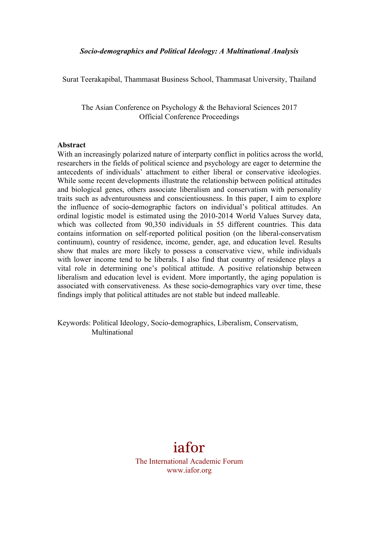Surat Teerakapibal, Thammasat Business School, Thammasat University, Thailand

The Asian Conference on Psychology & the Behavioral Sciences 2017 Official Conference Proceedings

#### **Abstract**

With an increasingly polarized nature of interparty conflict in politics across the world, researchers in the fields of political science and psychology are eager to determine the antecedents of individuals' attachment to either liberal or conservative ideologies. While some recent developments illustrate the relationship between political attitudes and biological genes, others associate liberalism and conservatism with personality traits such as adventurousness and conscientiousness. In this paper, I aim to explore the influence of socio-demographic factors on individual's political attitudes. An ordinal logistic model is estimated using the 2010-2014 World Values Survey data, which was collected from 90,350 individuals in 55 different countries. This data contains information on self-reported political position (on the liberal-conservatism continuum), country of residence, income, gender, age, and education level. Results show that males are more likely to possess a conservative view, while individuals with lower income tend to be liberals. I also find that country of residence plays a vital role in determining one's political attitude. A positive relationship between liberalism and education level is evident. More importantly, the aging population is associated with conservativeness. As these socio-demographics vary over time, these findings imply that political attitudes are not stable but indeed malleable.

Keywords: Political Ideology, Socio-demographics, Liberalism, Conservatism, Multinational

# iafor

The International Academic Forum www.iafor.org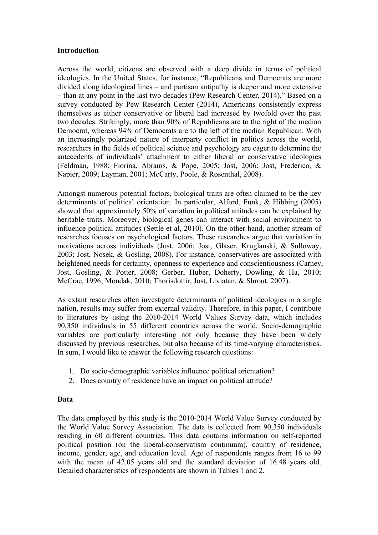## **Introduction**

Across the world, citizens are observed with a deep divide in terms of political ideologies. In the United States, for instance, "Republicans and Democrats are more divided along ideological lines – and partisan antipathy is deeper and more extensive – than at any point in the last two decades (Pew Research Center, 2014)." Based on a survey conducted by Pew Research Center (2014), Americans consistently express themselves as either conservative or liberal had increased by twofold over the past two decades. Strikingly, more than 90% of Republicans are to the right of the median Democrat, whereas 94% of Democrats are to the left of the median Republican. With an increasingly polarized nature of interparty conflict in politics across the world, researchers in the fields of political science and psychology are eager to determine the antecedents of individuals' attachment to either liberal or conservative ideologies (Feldman, 1988; Fiorina, Abrams, & Pope, 2005; Jost, 2006; Jost, Frederico, & Napier, 2009; Layman, 2001; McCarty, Poole, & Rosenthal, 2008).

Amongst numerous potential factors, biological traits are often claimed to be the key determinants of political orientation. In particular, Alford, Funk, & Hibbing (2005) showed that approximately 50% of variation in political attitudes can be explained by heritable traits. Moreover, biological genes can interact with social environment to influence political attitudes (Settle et al, 2010). On the other hand, another stream of researches focuses on psychological factors. These researches argue that variation in motivations across individuals (Jost, 2006; Jost, Glaser, Kruglanski, & Sulloway, 2003; Jost, Nosek, & Gosling, 2008). For instance, conservatives are associated with heightened needs for certainty, openness to experience and conscientiousness (Carney, Jost, Gosling, & Potter, 2008; Gerber, Huber, Doherty, Dowling, & Ha, 2010; McCrae, 1996; Mondak, 2010; Thorisdottir, Jost, Liviatan, & Shrout, 2007).

As extant researches often investigate determinants of political ideologies in a single nation, results may suffer from external validity. Therefore, in this paper, I contribute to literatures by using the 2010-2014 World Values Survey data, which includes 90,350 individuals in 55 different countries across the world. Socio-demographic variables are particularly interesting not only because they have been widely discussed by previous researches, but also because of its time-varying characteristics. In sum, I would like to answer the following research questions:

- 1. Do socio-demographic variables influence political orientation?
- 2. Does country of residence have an impact on political attitude?

## **Data**

The data employed by this study is the 2010-2014 World Value Survey conducted by the World Value Survey Association. The data is collected from 90,350 individuals residing in 60 different countries. This data contains information on self-reported political position (on the liberal-conservatism continuum), country of residence, income, gender, age, and education level. Age of respondents ranges from 16 to 99 with the mean of 42.05 years old and the standard deviation of 16.48 years old. Detailed characteristics of respondents are shown in Tables 1 and 2.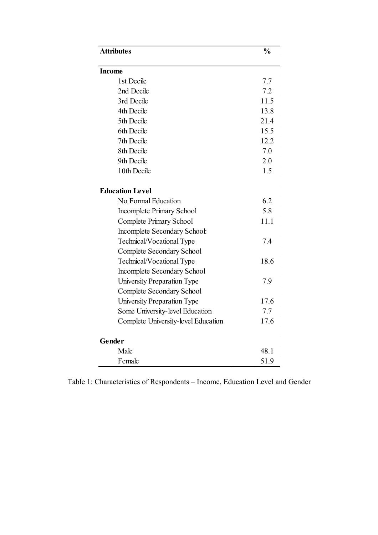| <b>Attributes</b>                   | $\frac{0}{0}$ |
|-------------------------------------|---------------|
| <b>Income</b>                       |               |
| 1st Decile                          | 7.7           |
| 2nd Decile                          | 7.2           |
| 3rd Decile                          | 11.5          |
| 4th Decile                          | 13.8          |
| 5th Decile                          | 21.4          |
| 6th Decile                          | 15.5          |
| 7th Decile                          | 12.2          |
| 8th Decile                          | 7.0           |
| 9th Decile                          | 2.0           |
| 10th Decile                         | 1.5           |
| <b>Education Level</b>              |               |
| No Formal Education                 | 6.2           |
| Incomplete Primary School           | 5.8           |
| Complete Primary School             | 11.1          |
| Incomplete Secondary School:        |               |
| Technical/Vocational Type           | 7.4           |
| Complete Secondary School           |               |
| Technical/Vocational Type           | 18.6          |
| Incomplete Secondary School         |               |
| University Preparation Type         | 7.9           |
| Complete Secondary School           |               |
| University Preparation Type         | 17.6          |
| Some University-level Education     | 7.7           |
| Complete University-level Education | 17.6          |
| Gender                              |               |
| Male                                | 48.1          |
| Female                              | 51.9          |

Table 1: Characteristics of Respondents – Income, Education Level and Gender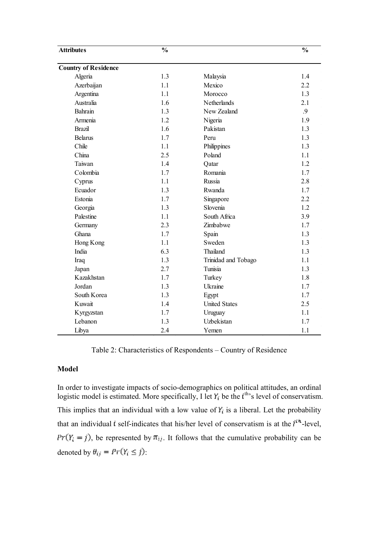| <b>Attributes</b>           | $\frac{0}{0}$ |                      | $\frac{1}{2}$ |  |  |  |  |  |
|-----------------------------|---------------|----------------------|---------------|--|--|--|--|--|
| <b>Country of Residence</b> |               |                      |               |  |  |  |  |  |
| Algeria                     | 1.3           | Malaysia             | 1.4           |  |  |  |  |  |
| Azerbaijan                  | 1.1           | Mexico               | 2.2           |  |  |  |  |  |
| Argentina                   | 1.1           | Morocco              | 1.3           |  |  |  |  |  |
| Australia                   | 1.6           | Netherlands          | 2.1           |  |  |  |  |  |
| Bahrain                     | 1.3           | New Zealand          | .9            |  |  |  |  |  |
| Armenia                     | 1.2           | Nigeria              | 1.9           |  |  |  |  |  |
| <b>Brazil</b>               | 1.6           | Pakistan             | 1.3           |  |  |  |  |  |
| <b>Belarus</b>              | 1.7           | Peru                 | 1.3           |  |  |  |  |  |
| Chile                       | 1.1           | Philippines          | 1.3           |  |  |  |  |  |
| China                       | 2.5           | Poland               | 1.1           |  |  |  |  |  |
| Taiwan                      | 1.4           | Qatar                | 1.2           |  |  |  |  |  |
| Colombia                    | 1.7           | Romania              | 1.7           |  |  |  |  |  |
| Cyprus                      | 1.1           | Russia               | 2.8           |  |  |  |  |  |
| Ecuador                     | 1.3           | Rwanda               | 1.7           |  |  |  |  |  |
| Estonia                     | 1.7           | Singapore            | 2.2           |  |  |  |  |  |
| Georgia                     | 1.3           | Slovenia             | 1.2           |  |  |  |  |  |
| Palestine                   | 1.1           | South Africa         | 3.9           |  |  |  |  |  |
| Germany                     | 2.3           | Zimbabwe             | 1.7           |  |  |  |  |  |
| Ghana                       | 1.7           | Spain                | 1.3           |  |  |  |  |  |
| Hong Kong                   | 1.1           | Sweden               | 1.3           |  |  |  |  |  |
| India                       | 6.3           | Thailand             | 1.3           |  |  |  |  |  |
| Iraq                        | 1.3           | Trinidad and Tobago  | 1.1           |  |  |  |  |  |
| Japan                       | 2.7           | Tunisia              | 1.3           |  |  |  |  |  |
| Kazakhstan                  | 1.7           | Turkey               | 1.8           |  |  |  |  |  |
| Jordan                      | 1.3           | Ukraine              | 1.7           |  |  |  |  |  |
| South Korea                 | 1.3           | Egypt                | 1.7           |  |  |  |  |  |
| Kuwait                      | 1.4           | <b>United States</b> | 2.5           |  |  |  |  |  |
| Kyrgyzstan                  | 1.7           | Uruguay              | 1.1           |  |  |  |  |  |
| Lebanon                     | 1.3           | Uzbekistan           | 1.7           |  |  |  |  |  |
| Libya                       | 2.4           | Yemen                | 1.1           |  |  |  |  |  |

Table 2: Characteristics of Respondents – Country of Residence

## **Model**

In order to investigate impacts of socio-demographics on political attitudes, an ordinal logistic model is estimated. More specifically, I let  $Y_i$  be the  $t^{th}$ 's level of conservatism. This implies that an individual with a low value of  $Y_i$  is a liberal. Let the probability that an individual i self-indicates that his/her level of conservatism is at the  $j^{\text{th}}$ -level,  $Pr(Y_i = j)$ , be represented by  $\pi_{ij}$ . It follows that the cumulative probability can be denoted by  $\theta_{ij} = Pr(Y_i \leq j)$ .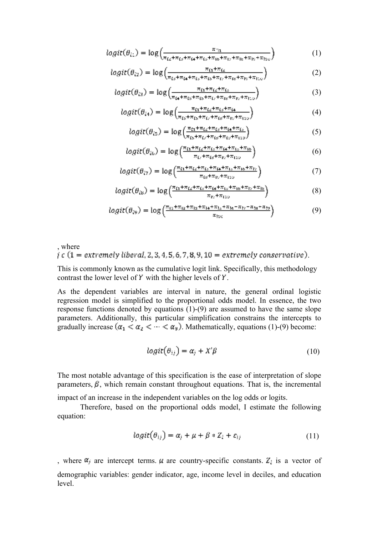$$
logit(\theta_{i1}) = log\left(\frac{\pi_{11}}{\pi_{i2} + \pi_{i3} + \pi_{i4} + \pi_{i5} + \pi_{16} + \pi_{17} + \pi_{18} + \pi_{19} + \pi_{110}}\right)
$$
(1)

$$
logit(\theta_{i2}) = \log \left( \frac{\pi_{i1} + \pi_{i2}}{\pi_{i3} + \pi_{i4} + \pi_{i3} + \pi_{i5} + \pi_{i6} + \pi_{i7} + \pi_{i8} + \pi_{i16}} \right)
$$
(2)

$$
logit(\theta_{i3}) = \log \left( \frac{\pi_{i1} + \pi_{i2} + \pi_{i3}}{\pi_{i4} + \pi_{i5} + \pi_{i6} + \pi_{i7} + \pi_{i8} + \pi_{i9} + \pi_{i10}} \right)
$$
(3)

$$
logit(\theta_{i4}) = log\left(\frac{\pi_{i1} + \pi_{i2} + \pi_{i3} + \pi_{i4}}{\pi_{i3} + \pi_{i3} + \pi_{i4} + \pi_{i5} + \pi_{i1} + \pi_{i2} + \pi_{i10}}\right)
$$
(4)

$$
logit(\theta_{i5}) = \log \left( \frac{\pi_{i1} + \pi_{i2} + \pi_{i3} + \pi_{i4} + \pi_{i5}}{\pi_{i3} + \pi_{i4} + \pi_{i5} + \pi_{i19} + \pi_{i19}} \right)
$$
(5)

$$
logit(\theta_{io}) = log\left(\frac{\pi_{li} + \pi_{li} + \pi_{li} + \pi_{li} + \pi_{lo}}{\pi_{li} + \pi_{li} + \pi_{li} + \pi_{1io}}\right)
$$
(6)

$$
logit(\theta_{i7}) = \log\left(\frac{\pi_{i1} + \pi_{i2} + \pi_{i3} + \pi_{i4} + \pi_{i5} + \pi_{i6} + \pi_{i7}}{\pi_{i3} + \pi_{i1} + \pi_{i10}}\right)
$$
(7)

$$
logit(\theta_{is}) = \log\left(\frac{\pi_{\Omega} + \pi_{is} + \pi_{is} + \pi_{is} + \pi_{is} + \pi_{is} + \pi_{is}}{\pi_{is} + \pi_{is}}\right)
$$
(8)

$$
logit(\theta_{iy}) = \log\left(\frac{\pi_{11} + \pi_{12} + \pi_{13} + \pi_{14} + \pi_{15} + \pi_{16} - \pi_{17} - \pi_{18} + \pi_{19}}{\pi_{11c}}\right)
$$
(9)

where  
 
$$
j \in (1 = extremely liberal, 2, 3, 4, 5, 6, 7, 8, 9, 10 = extremely conservative).
$$

This is commonly known as the cumulative logit link. Specifically, this methodology contrast the lower level of  $\mathbf r'$  with the higher levels of  $\mathbf r'$ .

As the dependent variables are interval in nature, the general ordinal logistic regression model is simplified to the proportional odds model. In essence, the two response functions denoted by equations (1)-(9) are assumed to have the same slope parameters. Additionally, this particular simplification constrains the intercepts to gradually increase  $(\alpha_1 < \alpha_2 < \cdots < \alpha_9)$ . Mathematically, equations (1)-(9) become:

$$
logit(\theta_{ij}) = \alpha_j + X'\beta
$$
 (10)

The most notable advantage of this specification is the ease of interpretation of slope parameters,  $\beta$ , which remain constant throughout equations. That is, the incremental

impact of an increase in the independent variables on the log odds or logits.

Therefore, based on the proportional odds model, I estimate the following equation:

$$
logit(\theta_{ij}) = \alpha_j + \mu + \beta * Z_i + \varepsilon_{ij}
$$
\n(11)

, where  $\alpha_j$  are intercept terms.  $\mu$  are country-specific constants.  $Z_i$  is a vector of demographic variables: gender indicator, age, income level in deciles, and education level.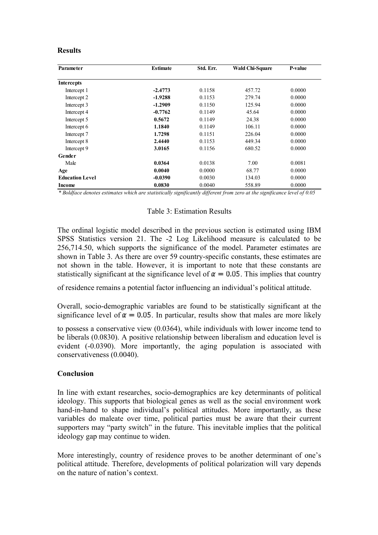## **Results**

| Parameter              | <b>Estimate</b> | Std. Err. | <b>Wald Chi-Square</b> | P-value |
|------------------------|-----------------|-----------|------------------------|---------|
| Intercepts             |                 |           |                        |         |
| Intercept 1            | $-2.4773$       | 0.1158    | 457.72                 | 0.0000  |
| Intercept 2            | $-1.9288$       | 0.1153    | 279.74                 | 0.0000  |
| Intercept 3            | $-1.2909$       | 0.1150    | 125.94                 | 0.0000  |
| Intercept 4            | $-0.7762$       | 0.1149    | 45.64                  | 0.0000  |
| Intercept 5            | 0.5672          | 0.1149    | 24.38                  | 0.0000  |
| Intercept 6            | 1.1840          | 0.1149    | 106.11                 | 0.0000  |
| Intercept 7            | 1.7298          | 0.1151    | 226.04                 | 0.0000  |
| Intercept 8            | 2.4440          | 0.1153    | 449.34                 | 0.0000  |
| Intercept 9            | 3.0165          | 0.1156    | 680.52                 | 0.0000  |
| Gender                 |                 |           |                        |         |
| Male                   | 0.0364          | 0.0138    | 7.00                   | 0.0081  |
| Age                    | 0.0040          | 0.0000    | 68.77                  | 0.0000  |
| <b>Education Level</b> | $-0.0390$       | 0.0030    | 134.03                 | 0.0000  |
| Income                 | 0.0830          | 0.0040    | 558.89                 | 0.0000  |

*\* Boldface denotes estimates which are statistically significantly different from zero at the significance level of 0.05*

## Table 3: Estimation Results

The ordinal logistic model described in the previous section is estimated using IBM SPSS Statistics version 21. The -2 Log Likelihood measure is calculated to be 256,714.50, which supports the significance of the model. Parameter estimates are shown in Table 3. As there are over 59 country-specific constants, these estimates are not shown in the table. However, it is important to note that these constants are statistically significant at the significance level of  $\alpha = 0.05$ . This implies that country

of residence remains a potential factor influencing an individual's political attitude.

Overall, socio-demographic variables are found to be statistically significant at the significance level of  $\alpha = 0.05$ . In particular, results show that males are more likely

to possess a conservative view (0.0364), while individuals with lower income tend to be liberals (0.0830). A positive relationship between liberalism and education level is evident (-0.0390). More importantly, the aging population is associated with conservativeness (0.0040).

## **Conclusion**

In line with extant researches, socio-demographics are key determinants of political ideology. This supports that biological genes as well as the social environment work hand-in-hand to shape individual's political attitudes. More importantly, as these variables do maleate over time, political parties must be aware that their current supporters may "party switch" in the future. This inevitable implies that the political ideology gap may continue to widen.

More interestingly, country of residence proves to be another determinant of one's political attitude. Therefore, developments of political polarization will vary depends on the nature of nation's context.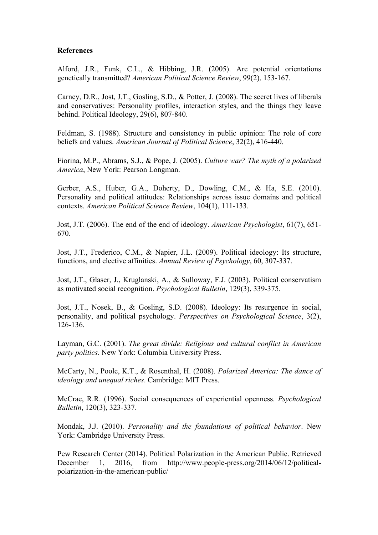## **References**

Alford, J.R., Funk, C.L., & Hibbing, J.R. (2005). Are potential orientations genetically transmitted? *American Political Science Review*, 99(2), 153-167.

Carney, D.R., Jost, J.T., Gosling, S.D., & Potter, J. (2008). The secret lives of liberals and conservatives: Personality profiles, interaction styles, and the things they leave behind. Political Ideology, 29(6), 807-840.

Feldman, S. (1988). Structure and consistency in public opinion: The role of core beliefs and values. *American Journal of Political Science*, 32(2), 416-440.

Fiorina, M.P., Abrams, S.J., & Pope, J. (2005). *Culture war? The myth of a polarized America*, New York: Pearson Longman.

Gerber, A.S., Huber, G.A., Doherty, D., Dowling, C.M., & Ha, S.E. (2010). Personality and political attitudes: Relationships across issue domains and political contexts. *American Political Science Review*, 104(1), 111-133.

Jost, J.T. (2006). The end of the end of ideology. *American Psychologist*, 61(7), 651- 670.

Jost, J.T., Frederico, C.M., & Napier, J.L. (2009). Political ideology: Its structure, functions, and elective affinities. *Annual Review of Psychology*, 60, 307-337.

Jost, J.T., Glaser, J., Kruglanski, A., & Sulloway, F.J. (2003). Political conservatism as motivated social recognition. *Psychological Bulletin*, 129(3), 339-375.

Jost, J.T., Nosek, B., & Gosling, S.D. (2008). Ideology: Its resurgence in social, personality, and political psychology. *Perspectives on Psychological Science*, 3(2), 126-136.

Layman, G.C. (2001). *The great divide: Religious and cultural conflict in American party politics*. New York: Columbia University Press.

McCarty, N., Poole, K.T., & Rosenthal, H. (2008). *Polarized America: The dance of ideology and unequal riches*. Cambridge: MIT Press.

McCrae, R.R. (1996). Social consequences of experiential openness. *Psychological Bulletin*, 120(3), 323-337.

Mondak, J.J. (2010). *Personality and the foundations of political behavior*. New York: Cambridge University Press.

Pew Research Center (2014). Political Polarization in the American Public. Retrieved December 1, 2016, from http://www.people-press.org/2014/06/12/politicalpolarization-in-the-american-public/